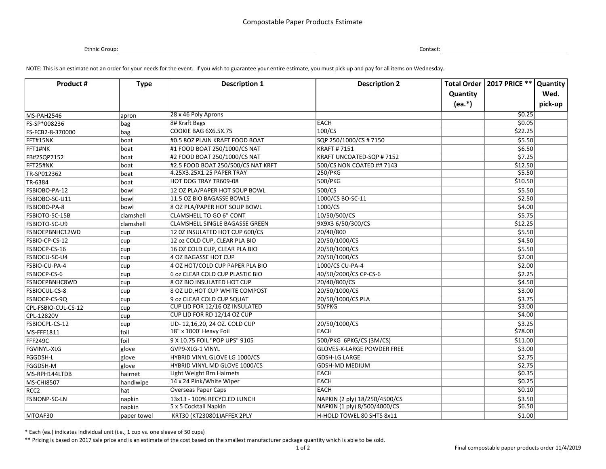## Compostable Paper Products Estimate

Ethnic Group: Contact:

NOTE: This is an estimate not an order for your needs for the event. If you wish to guarantee your entire estimate, you must pick up and pay for all items on Wednesday.

| <b>Product #</b>       | <b>Type</b> | <b>Description 1</b>                                            | <b>Description 2</b>                        |          | Total Order   2017 PRICE ** | <b>Quantity</b> |
|------------------------|-------------|-----------------------------------------------------------------|---------------------------------------------|----------|-----------------------------|-----------------|
|                        |             |                                                                 |                                             | Quantity |                             | Wed.            |
|                        |             |                                                                 |                                             | $(ea.*)$ |                             | pick-up         |
| MS-PAH2546             |             | 28 x 46 Poly Aprons                                             |                                             |          | \$0.25                      |                 |
| FS-SP*008236           | apron       | 8# Kraft Bags                                                   | <b>EACH</b>                                 |          | 50.05                       |                 |
| FS-FCB2-8-370000       | bag         | COOKIE BAG 6X6.5X.75                                            | 100/CS                                      |          | \$22.25                     |                 |
| FFT#15NK               | bag         | #0.5 80Z PLAIN KRAFT FOOD BOAT                                  |                                             |          | \$5.50                      |                 |
| FFT1#NK                | boat        |                                                                 | SQP 250/1000/CS # 7150<br><b>KRAFT#7151</b> |          | \$6.50                      |                 |
|                        | boat        | #1 FOOD BOAT 250/1000/CS NAT                                    |                                             |          |                             |                 |
| FB#2SQP7152            | boat        | #2 FOOD BOAT 250/1000/CS NAT                                    | KRAFT UNCOATED-SQP #7152                    |          | \$7.25                      |                 |
| FFT25#NK               | boat        | #2.5 FOOD BOAT 250/500/CS NAT KRFT<br>4.25X3.25X1.25 PAPER TRAY | 500/CS NON COATED ## 7143                   |          | \$12.50<br>\$5.50           |                 |
| TR-SP012362            | boat        |                                                                 | 250/PKG                                     |          |                             |                 |
| TR-6384                | boat        | HOT DOG TRAY TR609-08                                           | 500/PKG                                     |          | \$10.50                     |                 |
| FSBIOBO-PA-12          | bowl        | 12 OZ PLA/PAPER HOT SOUP BOWL                                   | 500/CS                                      |          | \$5.50                      |                 |
| FSBIOBO-SC-U11         | bowl        | 11.5 OZ BIO BAGASSE BOWLS                                       | 1000/CS BO-SC-11                            |          | \$2.50                      |                 |
| <b>FSBIOBO-PA-8</b>    | bowl        | 8 OZ PLA/PAPER HOT SOUP BOWL                                    | 1000/CS                                     |          | \$4.00                      |                 |
| <b>FSBIOTO-SC-15B</b>  | clamshell   | <b>CLAMSHELL TO GO 6" CONT</b>                                  | 10/50/500/CS                                |          | \$5.75                      |                 |
| FSBIOTO-SC-U9          | clamshell   | CLAMSHELL SINGLE BAGASSE GREEN                                  | 9X9X3 6/50/300/CS                           |          | \$12.25                     |                 |
| <b>FSBIOEPBNHC12WD</b> | cup         | 12 0Z INSULATED HOT CUP 600/CS                                  | 20/40/800                                   |          | \$5.50                      |                 |
| FSBIO-CP-CS-12         | cup         | 12 oz COLD CUP, CLEAR PLA BIO                                   | 20/50/1000/CS                               |          | \$4.50                      |                 |
| FSBIOCP-CS-16          | cup         | 16 OZ COLD CUP, CLEAR PLA BIO                                   | 20/50/1000/CS                               |          | \$5.50                      |                 |
| FSBIOCU-SC-U4          | cup         | 4 OZ BAGASSE HOT CUP                                            | 20/50/1000/CS                               |          | \$2.00                      |                 |
| FSBIO-CU-PA-4          | cup         | 4 OZ HOT/COLD CUP PAPER PLA BIO                                 | 1000/CS CU-PA-4                             |          | \$2.00                      |                 |
| <b>FSBIOCP-CS-6</b>    | cup         | 6 oz CLEAR COLD CUP PLASTIC BIO                                 | 40/50/2000/CS CP-CS-6                       |          | \$2.25                      |                 |
| <b>FSBIOEPBNHC8WD</b>  | cup         | 8 OZ BIO INSULATED HOT CUP                                      | 20/40/800/CS                                |          | \$4.50                      |                 |
| <b>FSBIOCUL-CS-8</b>   | cup         | 8 OZ LID, HOT CUP WHITE COMPOST                                 | 20/50/1000/CS                               |          | \$3.00                      |                 |
| FSBIOCP-CS-9Q          | cup         | 9 oz CLEAR COLD CUP SQUAT                                       | 20/50/1000/CS PLA                           |          | \$3.75                      |                 |
| CPL-FSBIO-CUL-CS-12    | cup         | CUP LID FOR 12/16 OZ INSULATED                                  | <b>50/PKG</b>                               |          | \$3.00                      |                 |
| CPL-12820V             | cup         | CUP LID FOR RD 12/14 OZ CUP                                     |                                             |          | 54.00                       |                 |
| FSBIOCPL-CS-12         | cup         | LID- 12,16,20, 24 OZ. COLD CUP                                  | 20/50/1000/CS                               |          | \$3.25                      |                 |
| $MS$ -FFF1811          | foil        | 18" x 1000' Heavy Foil                                          | <b>EACH</b>                                 |          | \$78.00                     |                 |
| FFF249C                | foil        | 9 X 10.75 FOIL "POP UPS" 9105                                   | 500/PKG 6PKG/CS (3M/CS)                     |          | \$11.00                     |                 |
| <b>FGVINYL-XLG</b>     | glove       | GVP9-XLG-1 VINYL                                                | <b>GLOVES-X-LARGE POWDER FREE</b>           |          | \$3.00                      |                 |
| <b>FGGDSH-L</b>        | glove       | HYBRID VINYL GLOVE LG 1000/CS                                   | <b>GDSH-LG LARGE</b>                        |          | \$2.75                      |                 |
| <b>FGGDSH-M</b>        | glove       | HYBRID VINYL MD GLOVE 1000/CS                                   | GDSH-MD MEDIUM                              |          | \$2.75                      |                 |
| MS-RPH144LTDB          | hairnet     | Light Weight Brn Hairnets                                       | <b>EACH</b>                                 |          | \$0.35                      |                 |
| <b>MS-CHI8507</b>      | handiwipe   | 14 x 24 Pink/White Wiper                                        | <b>EACH</b>                                 |          | \$0.25                      |                 |
| RCC2                   | hat         | <b>Overseas Paper Caps</b>                                      | <b>EACH</b>                                 |          | \$0.10                      |                 |
| <b>FSBIONP-SC-LN</b>   | napkin      | 13x13 - 100% RECYCLED LUNCH                                     | NAPKIN (2 ply) 18/250/4500/CS               |          | \$3.50                      |                 |
|                        | napkin      | 5 x 5 Cocktail Napkin                                           | NAPKIN (1 ply) 8/500/4000/CS                |          | \$6.50                      |                 |
| MTOAF30                | paper towel | KRT30 (KT230801) AFFEX 2PLY                                     | H-HOLD TOWEL 80 SHTS 8x11                   |          | \$1.00                      |                 |

\* Each (ea.) indicates individual unit (i.e., 1 cup vs. one sleeve of 50 cups)

\*\* Pricing is based on 2017 sale price and is an estimate of the cost based on the smallest manufacturer package quantity which is able to be sold.